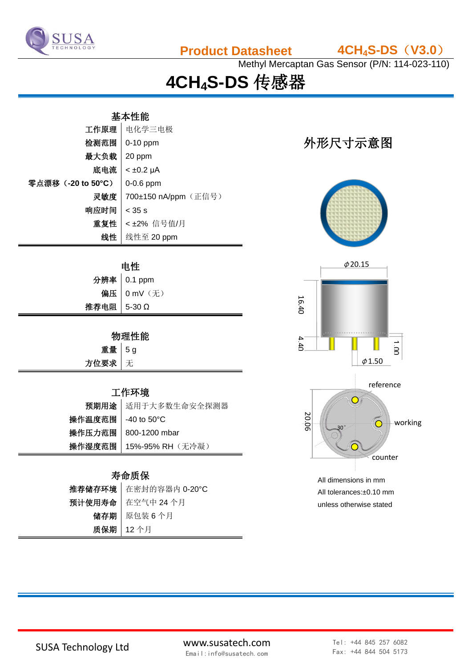

**Product Datasheet 4CH4S-DS**(**V3.0**)

Methyl Mercaptan Gas Sensor (P/N: 114-023-110)

# **4CH4S-DS** 传感器

#### 基本性能

| 工作原理              | 电化学三电极               |  |
|-------------------|----------------------|--|
| 检测范围              | $0-10$ ppm           |  |
| 最大负载              | 20 ppm               |  |
| 底电流               | $< \pm 0.2$ µA       |  |
| 零点漂移(-20 to 50°C) | $0-0.6$ ppm          |  |
| 灵敏度               | 700±150 nA/ppm (正信号) |  |
| 响应时间              | $<$ 35 s             |  |
| 重复性               | <±2% 信号值/月           |  |
| 线性                | 线性至 20 ppm           |  |

| 电性          |             |  |
|-------------|-------------|--|
|             | 分辨率 0.1 ppm |  |
|             | 偏压 0 mV (无) |  |
| 推荐电阻 5-30 Ω |             |  |

### 物理性能

| 重量   |  |
|------|--|
| 方位要求 |  |

重量 5 g 无

#### 工作环境

|                     | 预期用途 适用于大多数生命安全探测器        |
|---------------------|---------------------------|
| 操作温度范围   -40 to 50℃ |                           |
|                     | 操作压力范围   800-1200 mbar    |
|                     | 操作湿度范围   15%-95% RH (无冷凝) |

#### 寿命质保

| 推荐储存环境 者密封的容器内 0-20°C |
|-----------------------|
| 预计使用寿命   在空气中 24 个月   |
| 储存期   原包装6个月          |
| 质保期   12个月            |

## 外形尺寸示意图





All dimensions in mm All tolerances:±0.10 mm unless otherwise stated

SUSA Technology Ltd www.susatech.com Email:info@susatech.com